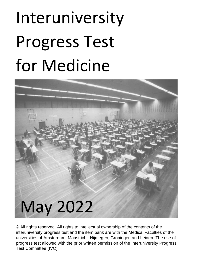# Interuniversity Progress Test for Medicine



**©** All rights reserved. All rights to intellectual ownership of the contents of the interuniversity progress test and the item bank are with the Medical Faculties of the universities of Amsterdam, Maastricht, Nijmegen, Groningen and Leiden. The use of progress test allowed with the prior written permission of the Interuniversity Progress Test Committee (IVC).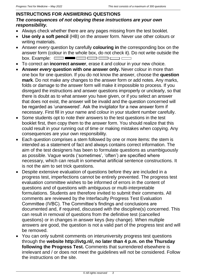## **INSTRUCTIONS FOR ANSWERING QUESTIONS** *The consequences of not obeying these instructions are your own responsibility.*

- Always check whether there are any pages missing from the test booklet.
- **Use only a soft pencil** (HB) on the answer form. Never use other colours or writing materials.
- Answer *every* question by carefully **colouring in** the corresponding box on the answer form (colour in the whole box, do not check it). Do not write outside the box. Example:  $\Box$   $\Box$   $\Box$
- To correct an **incorrect answer**, erase it and colour in your new choice.
- **Answer** *every* **question with one answer only.** Never colour in more than one box for one question. If you do not know the answer, choose the **question mark**. Do not make any changes to the answer form or add notes. Any marks, folds or damage to the answer form will make it impossible to process. If you disregard the instructions and answer questions improperly or unclearly, so that there is doubt as to what answer you have given, or if you select an answer that does not exist, the answer will be invalid and the question concerned will be regarded as 'unanswered'. Ask the invigilator for a new answer form if necessary. First fill in your name and colour in your student number carefully.
- Some students opt to note their answers to the test questions in the test booklet first, then copy them to the answer form. You should realize that this could result in your running out of time or making mistakes when copying. Any consequences are your own responsibility.
- Each question comprises a stem followed by one or more items: the stem is intended as a statement of fact and always contains correct information. The aim of the test designers has been to formulate questions as unambiguously as possible. Vague words ('sometimes', 'often') are specified where necessary, which can result in somewhat artificial sentence constructions. It is not the aim to set trick questions.
- Despite extensive evaluation of questions before they are included in a progress test, imperfections cannot be entirely prevented. The progress test evaluation committee wishes to be informed of errors in the content of questions and of questions with ambiguous or multi-interpretable formulations. Students are therefore invited to submit their comments. All comments are reviewed by the Interfaculty Progress Test Evaluation Committee (IVBC). The Committee's findings and conclusions are documented and, if required, discussed with the discipline(s) concerned. This can result in removal of questions from the definitive test (cancelled questions) or in changes in answer keys (key change). When multiple answers are good, the question is not a valid part of the progress test and will be removed.
- You can only submit comments on interuniversity progress test questions through the **website http://ivtg.nl/, no later than 4 p.m. on the Thursday following the Progress Test.** Comments that surrendered elsewhere is irrelevant and / or does not meet the guidelines will not be considered. Follow the instructions on the site.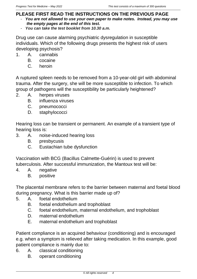# **PLEASE FIRST READ THE INSTRUCTIONS ON THE PREVIOUS PAGE**

- *You are not allowed to use your own paper to make notes. Instead, you may use the empty pages at the end of this test.*
- *You can take the test booklet from 10.30 a.m.*

Drug use can cause alarming psychiatric dysregulation in susceptible individuals. Which of the following drugs presents the highest risk of users developing psychosis?

- 1. A. cannabis
	- B. cocaine
	- C. heroin

A ruptured spleen needs to be removed from a 10-year-old girl with abdominal trauma. After the surgery, she will be more susceptible to infection. To which group of pathogens will the susceptibility be particularly heightened?

- 2. A. herpes viruses
	- B. influenza viruses
	- C. pneumococci
	- D. staphylococci

Hearing loss can be transient or permanent. An example of a transient type of hearing loss is:

- 3. A. noise-induced hearing loss
	- B. presbycusis
	- C. Eustachian tube dysfunction

Vaccination with BCG (Bacillus Calmette-Guérin) is used to prevent tuberculosis. After successful immunization, the Mantoux test will be:

- 4. A. negative
	- B. positive

The placental membrane refers to the barrier between maternal and foetal blood during pregnancy. What is this barrier made up of?

- 5. A. foetal endothelium
	- B. foetal endothelium and trophoblast
	- C. foetal endothelium, maternal endothelium, and trophoblast
	- D. maternal endothelium
	- E. maternal endothelium and trophoblast

Patient compliance is an acquired behaviour (conditioning) and is encouraged e.g. when a symptom is relieved after taking medication. In this example, good patient compliance is mainly due to:

- 6. A. classical conditioning
	- B. operant conditioning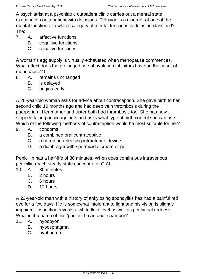A psychiatrist at a psychiatric outpatient clinic carries out a mental state examination on a patient with delusions. Delusion is a disorder of one of the mental functions. In which category of mental functions is delusion classified? The:

- 7. A. affective functions
	- B. cognitive functions
	- C. conative functions

A woman's egg supply is virtually exhausted when menopause commences. What effect does the prolonged use of ovulation inhibitors have on the onset of menopause? It:

- 8. A. remains unchanged
	- B. is delayed
	- C. begins early

A 26-year-old woman asks for advice about contraception. She gave birth to her second child 10 months ago and had deep vein thrombosis during the puerperium. Her mother and sister both had thrombosis too. She has now stopped taking anticoagulants and asks what type of birth control she can use. Which of the following methods of contraception would be most suitable for her?

- 9. A. condoms
	- B. a combined oral contraceptive
	- C. a hormone-releasing intrauterine device
	- D. a diaphragm with spermicidal cream or gel

Penicillin has a half-life of 30 minutes. When does continuous intravenous penicillin reach steady state concentration? At:

- 10. A. 30 minutes
	- B. 2 hours
	- C. 6 hours
	- D. 12 hours

A 23-year-old man with a history of ankylosing spondylitis has had a painful red eye for a few days. He is somewhat intolerant to light and his vision is slightly impaired. Inspection reveals a white fluid level as well as perilimbal redness. What is the name of this 'pus' in the anterior chamber?

- 11. A. hypopyon
	- B. hyposphagma
	- C. hyphaema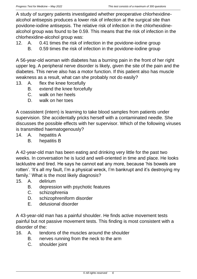A study of surgery patients investigated whether preoperative chlorhexidinealcohol antisepsis produces a lower risk of infection at the surgical site than povidone-iodine antisepsis. The relative risk of infection in the chlorhexidinealcohol group was found to be 0.59. This means that the risk of infection in the chlorhexidine-alcohol group was:

- 12. A. 0.41 times the risk of infection in the povidone-iodine group
	- B. 0.59 times the risk of infection in the povidone-iodine group

A 56-year-old woman with diabetes has a burning pain in the front of her right upper leg. A peripheral nerve disorder is likely, given the site of the pain and the diabetes. This nerve also has a motor function. If this patient also has muscle weakness as a result, what can she probably not do easily?

- 13. A. flex the knee forcefully
	- B. extend the knee forcefully
	- C. walk on her heels
	- D. walk on her toes

A coassistent (intern) is learning to take blood samples from patients under supervision. She accidentally pricks herself with a contaminated needle. She discusses the possible effects with her supervisor. Which of the following viruses is transmitted haematogenously?

- 14. A. hepatitis A
	- B. hepatitis B

A 42-year-old man has been eating and drinking very little for the past two weeks. In conversation he is lucid and well-oriented in time and place. He looks lacklustre and tired. He says he cannot eat any more, because 'his bowels are rotten'. 'It's all my fault, I'm a physical wreck, I'm bankrupt and it's destroying my family.' What is the most likely diagnosis?

- 15. A. delirium
	- B. depression with psychotic features
	- C. schizophrenia
	- D. schizophreniform disorder
	- E. delusional disorder

A 43-year-old man has a painful shoulder. He finds active movement tests painful but not passive movement tests. This finding is most consistent with a disorder of the:

- 16. A. tendons of the muscles around the shoulder
	- B. nerves running from the neck to the arm
	- C. shoulder joint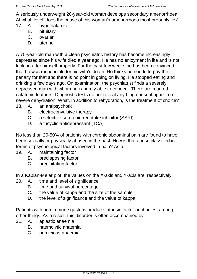A seriously underweight 20-year-old woman develops secondary amenorrhoea. At what 'level' does the cause of this woman's amenorrhoea most probably lie?

- 17. A. hypothalamic
	- B. pituitary
	- C. ovarian
	- D. uterine

A 75-year-old man with a clean psychiatric history has become increasingly depressed since his wife died a year ago. He has no enjoyment in life and is not looking after himself properly. For the past few weeks he has been convinced that he was responsible for his wife's death. He thinks he needs to pay the penalty for that and there is no point in going on living. He stopped eating and drinking a few days ago. On examination, the psychiatrist finds a severely depressed man with whom he is hardly able to connect. There are marked catatonic features. Diagnostic tests do not reveal anything unusual apart from severe dehydration. What, in addition to rehydration, is the treatment of choice?

- 18. A. an antipsychotic
	- B. electroconvulsive therapy
	- C. a selective serotonin reuptake inhibitor (SSRI)
	- D. a tricyclic antidepressant (TCA)

No less than 20-50% of patients with chronic abdominal pain are found to have been sexually or physically abused in the past. How is that abuse classified in terms of psychological factors involved in pain? As a:

- 19. A. maintaining factor
	- B. predisposing factor
	- C. precipitating factor

In a Kaplan-Meier plot, the values on the X-axis and Y-axis are, respectively:

- 20. A. time and level of significance
	- B. time and survival percentage
	- C. the value of kappa and the size of the sample
	- D. the level of significance and the value of kappa

Patients with autoimmune gastritis produce intrinsic factor antibodies, among other things. As a result, this disorder is often accompanied by:

- 21. A. aplastic anaemia
	- B. haemolytic anaemia
	- C. pernicious anaemia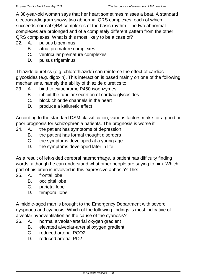A 38-year-old woman says that her heart sometimes misses a beat. A standard electrocardiogram shows two abnormal QRS complexes, each of which succeeds normal QRS complexes of the basic rhythm. The two abnormal complexes are prolonged and of a completely different pattern from the other QRS complexes. What is this most likely to be a case of?

22. A. pulsus bigeminus

- B. atrial premature complexes
- C. ventricular premature complexes
- D. pulsus trigeminus

Thiazide diuretics (e.g. chlorothiazide) can reinforce the effect of cardiac glycosides (e.g. digoxin). This interaction is based mainly on one of the following mechanisms, namely the ability of thiazide diuretics to:

- 23. A. bind to cytochrome P450 isoenzymes
	- B. inhibit the tubular secretion of cardiac glycosides
	- C. block chloride channels in the heart
	- D. produce a kaliuretic effect

According to the standard DSM classification, various factors make for a good or poor prognosis for schizophrenia patients. The prognosis is worse if:

- 24. A. the patient has symptoms of depression
	- B. the patient has formal thought disorders
	- C. the symptoms developed at a young age
	- D. the symptoms developed later in life

As a result of left-sided cerebral haemorrhage, a patient has difficulty finding words, although he can understand what other people are saying to him. Which part of his brain is involved in this expressive aphasia? The:

- 25. A. frontal lobe
	- B. occipital lobe
	- C. parietal lobe
	- D. temporal lobe

A middle-aged man is brought to the Emergency Department with severe dyspnoea and cyanosis. Which of the following findings is most indicative of alveolar hypoventilation as the cause of the cyanosis?

- 26. A. normal alveolar-arterial oxygen gradient
	- B. elevated alveolar-arterial oxygen gradient
	- C. reduced arterial PCO2
	- D. reduced arterial PO2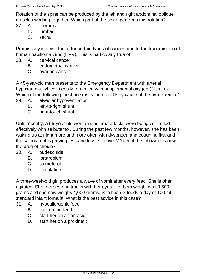Rotation of the spine can be produced by the left and right abdominal oblique muscles working together. Which part of the spine performs this rotation?

- 27. A. thoracic
	- B. lumbar
	- C. sacral

Promiscuity is a risk factor for certain types of cancer, due to the transmission of human papilloma virus (HPV). This is particularly true of:

- 28. A. cervical cancer
	- B. endometrial cancer
	- C. ovarian cancer

A 45-year-old man presents to the Emergency Department with arterial hypoxaemia, which is easily remedied with supplemental oxygen (2L/min.). Which of the following mechanisms is the most likely cause of the hypoxaemia?

- 29. A. alveolar hypoventilation
	- B. left-to-right shunt
	- C. right-to-left shunt

Until recently, a 55-year-old woman's asthma attacks were being controlled effectively with salbutamol. During the past few months, however, she has been waking up at night more and more often with dyspnoea and coughing fits, and the salbutamol is proving less and less effective. Which of the following is now the drug of choice?

- 30. A. budesonide
	- B. ipratropium
	- C. salmeterol
	- D. terbutaline

A three-week-old girl produces a wave of vomit after every feed. She is often agitated. She focuses and tracks with her eyes. Her birth weight was 3,500 grams and she now weighs 4,000 grams. She has six feeds a day of 100 ml standard infant formula. What is the best advice in this case?

- 31. A. hypoallergenic feed
	- B. thicken the feed
	- C. start her on an antacid
	- D. start her on a prokinetic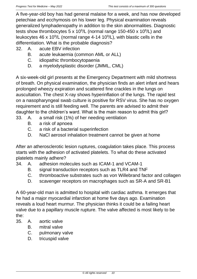A five-year-old boy has had general malaise for a week, and has now developed petechiae and ecchymosis on his lower leg. Physical examination reveals generalized lymphadenopathy in addition to the skin abnormalities. Diagnostic tests show thrombocytes  $5 \times 10^9$ /L (normal range 150-450 x 10 $9$ /L) and leukocytes 46 x 10<sup>9</sup>/L (normal range 4-14 10<sup>9</sup>/L), with blastic cells in the differentiation. What is the probable diagnosis?

- 32. A. acute EBV infection
	- B. acute leukaemia (common AML or ALL)
	- C. idiopathic thrombocytopaenia
	- D. a myelodysplastic disorder (JMML, CML)

A six-week-old girl presents at the Emergency Department with mild shortness of breath. On physical examination, the physician finds an alert infant and hears prolonged wheezy expiration and scattered fine crackles in the lungs on auscultation. The chest X-ray shows hyperinflation of the lungs. The rapid test on a nasopharyngeal swab culture is positive for RSV virus. She has no oxygen requirement and is still feeding well. The parents are advised to admit their daughter to the children's ward. What is the main reason to admit this girl?

- 33. A. a small risk (1%) of her needing ventilation
	- B. a risk of apnoea
	- C. a risk of a bacterial superinfection
	- D. NaCl aerosol inhalation treatment cannot be given at home

After an atherosclerotic lesion ruptures, coagulation takes place. This process starts with the adhesion of activated platelets. To what do these activated platelets mainly adhere?

- 34. A. adhesion molecules such as ICAM-1 and VCAM-1
	- B. signal transduction receptors such as TLR4 and TNF
	- C. thromboactive substrates such as von Willebrand factor and collagen
	- D. scavenger receptors on macrophages such as SR-A and SR-B1

A 60-year-old man is admitted to hospital with cardiac asthma. It emerges that he had a major myocardial infarction at home five days ago. Examination reveals a loud heart murmur. The physician thinks it could be a failing heart valve due to a papillary muscle rupture. The valve affected is most likely to be the:

- 35. A. aortic valve
	- B. mitral valve
	- C. pulmonary valve
	- D. tricuspid valve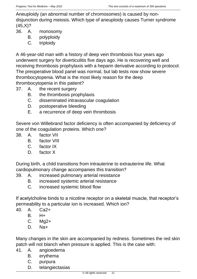Aneuploidy (an abnormal number of chromosomes) is caused by nondisjunction during meiosis. Which type of aneuploidy causes Turner syndrome  $(45,X)?$ 

- 36. A. monosomy
	- B. polyploidy
	- C. triploidy

A 46-year-old man with a history of deep vein thrombosis four years ago underwent surgery for diverticulitis five days ago. He is recovering well and receiving thrombosis prophylaxis with a heparin derivative according to protocol. The preoperative blood panel was normal, but lab tests now show severe thrombocytopenia. What is the most likely reason for the deep thrombocytopenia in this patient?

- 37. A. the recent surgery
	- B. the thrombosis prophylaxis
	- C. disseminated intravascular coagulation
	- D. postoperative bleeding
	- E. a recurrence of deep vein thrombosis

Severe von Willebrand factor deficiency is often accompanied by deficiency of one of the coagulation proteins. Which one?

- 38. A. factor VII
	- B. factor VIII
	- C. factor IX
	- D. factor X

During birth, a child transitions from intrauterine to extrauterine life. What cardiopulmonary change accompanies this transition?

- 39. A. increased pulmonary arterial resistance
	- B. increased systemic arterial resistance
	- C. increased systemic blood flow

If acetylcholine binds to a nicotine receptor on a skeletal muscle, that receptor's permeability to a particular ion is increased. Which ion?

- 40. A. Ca2+
	- B. H+
	- C. Mg2+
	- D. Na+

Many changes in the skin are accompanied by redness. Sometimes the red skin patch will not blanch when pressure is applied. This is the case with:

- 41. A. angioedema
	- B. erythema
	- C. purpura
	- D. telangiectasias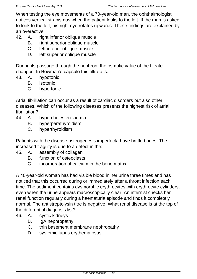When testing the eye movements of a 70-year-old man, the ophthalmologist notices vertical strabismus when the patient looks to the left. If the man is asked to look to the left, his right eye rotates upwards. These findings are explained by an overactive:

- 42. A. right inferior oblique muscle
	- B. right superior oblique muscle
	- C. left inferior oblique muscle
	- D. left superior oblique muscle

During its passage through the nephron, the osmotic value of the filtrate changes. In Bowman's capsule this filtrate is:

- 43. A. hypotonic
	- B. isotonic
	- C. hypertonic

Atrial fibrillation can occur as a result of cardiac disorders but also other diseases. Which of the following diseases presents the highest risk of atrial fibrillation?

- 44. A. hypercholesterolaemia
	- B. hyperparathyroidism
	- C. hyperthyroidism

Patients with the disease osteogenesis imperfecta have brittle bones. The increased fragility is due to a defect in the:

- 45. A. assembly of collagen
	- B. function of osteoclasts
	- C. incorporation of calcium in the bone matrix

A 40-year-old woman has had visible blood in her urine three times and has noticed that this occurred during or immediately after a throat infection each time. The sediment contains dysmorphic erythrocytes with erythrocyte cylinders, even when the urine appears macroscopically clear. An internist checks her renal function regularly during a haematuria episode and finds it completely normal. The antistreptolysin titre is negative. What renal disease is at the top of the differential diagnosis list?

- 46. A. cystic kidneys
	- B. IgA nephropathy
	- C. thin basement membrane nephropathy
	- D. systemic lupus erythematosus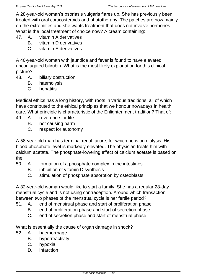A 28-year-old woman's psoriasis vulgaris flares up. She has previously been treated with oral corticosteroids and phototherapy. The patches are now mainly on the extremities and she wants treatment that does not involve hormones. What is the local treatment of choice now? A cream containing:

- 47. A. vitamin A derivatives
	- B. vitamin D derivatives
	- C. vitamin E derivatives

A 40-year-old woman with jaundice and fever is found to have elevated unconjugated bilirubin. What is the most likely explanation for this clinical picture?

- 48. A. biliary obstruction
	- B. haemolysis
	- C. hepatitis

Medical ethics has a long history, with roots in various traditions, all of which have contributed to the ethical principles that we honour nowadays in health care. What principle is characteristic of the Enlightenment tradition? That of:

- 49. A. reverence for life
	- B. not causing harm
	- C. respect for autonomy

A 58-year-old man has terminal renal failure, for which he is on dialysis. His blood phosphate level is markedly elevated. The physician treats him with calcium acetate. The phosphate-lowering effect of calcium acetate is based on the:

- 50. A. formation of a phosphate complex in the intestines
	- B. inhibition of vitamin D synthesis
	- C. stimulation of phosphate absorption by osteoblasts

A 32-year-old woman would like to start a family. She has a regular 28-day menstrual cycle and is not using contraception. Around which transaction between two phases of the menstrual cycle is her fertile period?

- 51. A. end of menstrual phase and start of proliferation phase
	- B. end of proliferation phase and start of secretion phase
	- C. end of secretion phase and start of menstrual phase

What is essentially the cause of organ damage in shock?

- 52. A. haemorrhage
	- B. hyperreactivity
	- C. hypoxia
	- D. infarction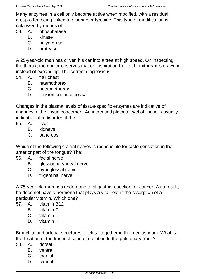Many enzymes in a cell only become active when modified, with a residual group often being linked to a serine or tyrosine. This type of modification is catalyzed by means of:

- 53. A. phosphatase
	- B. kinase
	- C. polymerase
	- D. protease

A 25-year-old man has driven his car into a tree at high speed. On inspecting the thorax, the doctor observes that on inspiration the left hemithorax is drawn in instead of expanding. The correct diagnosis is:

- 54. A. flail chest
	- B. haemothorax
	- C. pneumothorax
	- D. tension pneumothorax

Changes in the plasma levels of tissue-specific enzymes are indicative of changes in the tissue concerned. An increased plasma level of lipase is usually indicative of a disorder of the:

- 55. A. liver
	- B. kidneys
	- C. pancreas

Which of the following cranial nerves is responsible for taste sensation in the anterior part of the tongue? The:

- 56. A. facial nerve
	- B. glossopharyngeal nerve
	- C. hypoglossal nerve
	- D. trigeminal nerve

A 75-year-old man has undergone total gastric resection for cancer. As a result, he does not have a hormone that plays a vital role in the resorption of a particular vitamin. Which one?

- 57. A. vitamin B12
	- B. vitamin C
	- C. vitamin D
	- D. vitamin K

Bronchial and arterial structures lie close together in the mediastinum. What is the location of the tracheal carina in relation to the pulmonary trunk?

- 58. A. dorsal
	- B. ventral
	- C. cranial
	- D. caudal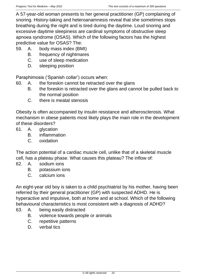A 57-year-old woman presents to her general practitioner (GP) complaining of snoring. History-taking and heteroanamnesis reveal that she sometimes stops breathing during the night and is tired during the daytime. Loud snoring and excessive daytime sleepiness are cardinal symptoms of obstructive sleep apnoea syndrome (OSAS). Which of the following factors has the highest predictive value for OSAS? The:

- 59. A. body mass index (BMI)
	- B. frequency of nightmares
	- C. use of sleep medication
	- D. sleeping position

Paraphimosis ('Spanish collar') occurs when:

- 60. A. the foreskin cannot be retracted over the glans
	- B. the foreskin is retracted over the glans and cannot be pulled back to the normal position
	- C. there is meatal stenosis

Obesity is often accompanied by insulin resistance and atherosclerosis. What mechanism in obese patients most likely plays the main role in the development of these disorders?

- 61. A. glycation
	- B. inflammation
	- C. oxidation

The action potential of a cardiac muscle cell, unlike that of a skeletal muscle cell, has a plateau phase. What causes this plateau? The inflow of:

- 62. A. sodium ions
	- B. potassium ions
	- C. calcium ions

An eight-year old boy is taken to a child psychiatrist by his mother, having been referred by their general practitioner (GP) with suspected ADHD. He is hyperactive and impulsive, both at home and at school. Which of the following behavioural characteristics is most consistent with a diagnosis of ADHD?

- 63. A. being easily distracted
	- B. violence towards people or animals
	- C. repetitive patterns
	- D. verbal tics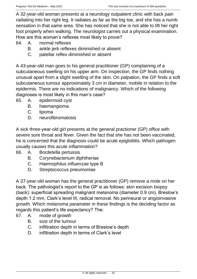A 32-year-old woman presents at a neurology outpatient clinic with back pain radiating into her right leg. It radiates as far as the big toe, and she has a numb sensation in that same area. She has noticed that she is not able to lift her right foot properly when walking. The neurologist carries out a physical examination. How are this woman's reflexes most likely to prove?

64. A. normal reflexes

- B. ankle jerk reflexes diminished or absent
- C. patellar reflex diminished or absent

A 43-year-old man goes to his general practitioner (GP) complaining of a subcutaneous swelling on his upper arm. On inspection, the GP finds nothing unusual apart from a slight swelling of the skin. On palpation, the GP finds a soft subcutaneous tumour approximately 3 cm in diameter, mobile in relation to the epidermis. There are no indications of malignancy. Which of the following diagnoses is most likely in this man's case?

- 65. A. epidermoid cyst
	- B. haemangioma
	- C. lipoma
	- D. neurofibromatosis

A sick three-year-old girl presents at the general practioner (GP) office with severe sore throat and fever. Given the fact that she has not been vaccinated, he is concerned that the diagnosis could be acute epiglottitis. Which pathogen usually causes this acute inflammation?

- 66. A. Bordetella pertussis
	- B. Corynebacterium diphtheriae
	- C. Haemophilus influenzae type B
	- D. Streptococcus pneumoniae

A 37-year-old woman has the general practitioner (GP) remove a mole on her back. The pathologist's report to the GP is as follows: skin excision biopsy (back): superficial spreading malignant melanoma (diameter 0.9 cm), Breslow's depth 1.2 mm, Clark's level III, radical removal. No perineural or angioinvasive growth. Which melanoma parameter in these findings is the deciding factor as regards this patient's life expectancy? The:

- 67. A. mode of growth
	- B. size of the tumour
	- C. infiltration depth in terms of Breslow's depth
	- D. infiltration depth in terms of Clark's level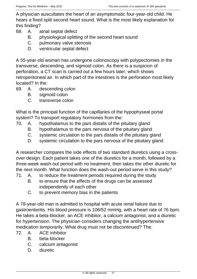A physician auscultates the heart of an asymptomatic four-year-old child. He hears a fixed split second heart sound. What is the most likely explanation for this finding?

- 68. A. atrial septal defect
	- B. physiological splitting of the second heart sound
	- C. pulmonary valve stenosis
	- D. ventricular septal defect

A 55-year-old woman has undergone colonoscopy with polypectomies in the transverse, descending, and sigmoid colon. As there is a suspicion of perforation, a CT scan is carried out a few hours later, which shows retroperitoneal air. In which part of the intestines is the perforation most likely located? In the:

- 69. A. descending colon
	- B. sigmoid colon
	- C. transverse colon

What is the principal function of the capillaries of the hypophyseal portal system? To transport regulatory hormones from the:

- 70. A. hypothalamus to the pars distalis of the pituitary gland
	- B. hypothalamus to the pars nervosa of the pituitary gland
	- C. systemic circulation to the pars distalis of the pituitary gland
	- D. systemic circulation to the pars nervosa of the pituitary gland

A researcher compares the side effects of two standard diuretics using a crossover design. Each patient takes one of the diuretics for a month, followed by a three-week wash-out period with no treatment, then takes the other diuretic for the next month. What function does the wash-out period serve in this study?

- 71. A. to reduce the treatment periods required during the study
	- B. to ensure that the effects of the drugs can be assessed independently of each other
	- C. to prevent memory bias in the patients

A 78-year-old man is admitted to hospital with acute renal failure due to gastroenteritis. His blood pressure is 106/52 mmHg, with a heart rate of 76 bpm. He takes a beta-blocker, an ACE inhibitor, a calcium antagonist, and a diuretic for hypertension. The physician considers changing the antihypertensive medication temporarily. What drug must not be discontinued? The:

- 72. A. ACE inhibitor
	- B. beta-blocker
	- C. calcium antagonist
	- D. diuretic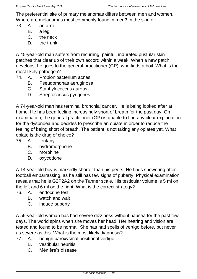The preferential site of primary melanomas differs between men and women. Where are melanomas most commonly found in men? In the skin of:

- 73. A. an arm
	- B. a leg
	- C. the neck
	- D. the trunk

A 45-year-old man suffers from recurring, painful, indurated pustular skin patches that clear up of their own accord within a week. When a new patch develops, he goes to the general practitioner (GP), who finds a boil. What is the most likely pathogen?

- 74. A. Propionibacterium acnes
	- B. Pseudomonas aeruginosa
	- C. Staphylococcus aureus
	- D. Streptococcus pyogenes

A 74-year-old man has terminal bronchial cancer. He is being looked after at home. He has been feeling increasingly short of breath for the past day. On examination, the general practitioner (GP) is unable to find any clear explanation for the dyspnoea and decides to prescribe an opiate in order to reduce the feeling of being short of breath. The patient is not taking any opiates yet. What opiate is the drug of choice?

- 75. A. fentanyl
	- B. hydromorphone
	- C. morphine
	- D. oxycodone

A 14-year-old boy is markedly shorter than his peers. He finds showering after football embarrassing, as he still has few signs of puberty. Physical examination reveals that he is G2P2A2 on the Tanner scale. His testicular volume is 5 ml on the left and 6 ml on the right. What is the correct strategy?

- 76. A. endocrine test
	- B. watch and wait
	- C. induce puberty

A 55-year-old woman has had severe dizziness without nausea for the past few days. The world spins when she moves her head. Her hearing and vision are tested and found to be normal. She has had spells of vertigo before, but never as severe as this. What is the most likely diagnosis?

- 77. A. benign paroxysmal positional vertigo
	- B. vestibular neuritis
	- C. Ménière's disease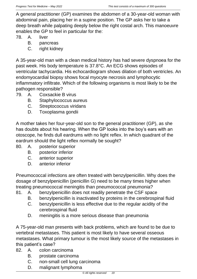A general practitioner (GP) examines the abdomen of a 30-year-old woman with abdominal pain, placing her in a supine position. The GP asks her to take a deep breath while palpating deeply below the right costal arch. This manoeuvre enables the GP to feel in particular for the:

- 78. A. liver
	- B. pancreas
	- C. right kidney

A 35-year-old man with a clean medical history has had severe dyspnoea for the past week. His body temperature is 37.8°C. An ECG shows episodes of ventricular tachycardia. His echocardiogram shows dilation of both ventricles. An endomyocardial biopsy shows focal myocyte necrosis and lymphocytic inflammatory infiltrate. Which of the following organisms is most likely to be the pathogen responsible?

- 79. A. Coxsackie B virus
	- B. Staphylococcus aureus
	- C. Streptococcus viridans
	- D. Toxoplasma gondii

A mother takes her four-year-old son to the general practitioner (GP), as she has doubts about his hearing. When the GP looks into the boy's ears with an otoscope, he finds dull eardrums with no light reflex. In which quadrant of the eardrum should the light reflex normally be sought?

- 80. A. posterior superior
	- B. posterior inferior
	- C. anterior superior
	- D. anterior inferior

Pneumococcal infections are often treated with benzylpenicillin. Why does the dosage of benzylpenicillin (penicillin G) need to be many times higher when treating pneumococcal meningitis than pneumococcal pneumonia?

- 81. A. benzylpenicillin does not readily penetrate the CSF space
	- B. benzylpenicillin is inactivated by proteins in the cerebrospinal fluid
	- C. benzylpenicillin is less effective due to the regular acidity of the cerebrospinal fluid
	- D. meningitis is a more serious disease than pneumonia

A 75-year-old man presents with back problems, which are found to be due to vertebral metastases. This patient is most likely to have several osseous metastases. What primary tumour is the most likely source of the metastases in this patient's case?

- 82. A. colon carcinoma
	- B. prostate carcinoma
	- C. non-small cell lung carcinoma
	- D. malignant lymphoma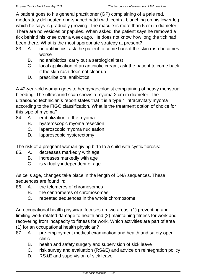A patient goes to his general practitioner (GP) complaining of a pale red, moderately delineated ring-shaped patch with central blanching on his lower leg, which he says is gradually growing. The macule is more than 5 cm in diameter. There are no vesicles or papules. When asked, the patient says he removed a tick behind his knee over a week ago. He does not know how long the tick had been there. What is the most appropriate strategy at present?

- 83. A. no antibiotics, ask the patient to come back if the skin rash becomes worse
	- B. no antibiotics, carry out a serological test
	- C. local application of an antibiotic cream, ask the patient to come back if the skin rash does not clear up
	- D. prescribe oral antibiotics

A 42-year-old woman goes to her gynaecologist complaining of heavy menstrual bleeding. The ultrasound scan shows a myoma 2 cm in diameter. The ultrasound technician's report states that it is a type 1 intracavitary myoma according to the FIGO classification. What is the treatment option of choice for this type of myoma?

- 84. A. embolization of the myoma
	- B. hysteroscopic myoma resection
	- C. laparoscopic myoma nucleation
	- D. laparoscopic hysterectomy

The risk of a pregnant woman giving birth to a child with cystic fibrosis:

- 85. A. decreases markedly with age
	- B. increases markedly with age
	- C. is virtually independent of age

As cells age, changes take place in the length of DNA sequences. These sequences are found in:

- 86. A. the telomeres of chromosomes
	- B. the centromeres of chromosomes
	- C. repeated sequences in the whole chromosome

An occupational health physician focuses on two areas: (1) preventing and limiting work-related damage to health and (2) maintaining fitness for work and recovering from incapacity to fitness for work. Which activities are part of area (1) for an occupational health physician?

- 87. A. pre-employment medical examination and health and safety open clinic
	- B. health and safety surgery and supervision of sick leave
	- C. risk survey and evaluation (RS&E) and advice on reintegration policy
	- D. RS&E and supervision of sick leave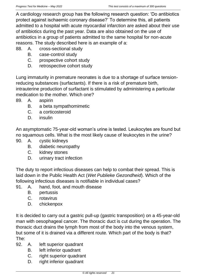A cardiology research group has the following research question: 'Do antibiotics protect against ischaemic coronary disease?' To determine this, all patients admitted to a hospital with acute myocardial infarction are asked about their use of antibiotics during the past year. Data are also obtained on the use of antibiotics in a group of patients admitted to the same hospital for non-acute reasons. The study described here is an example of a:

- 88. A. cross-sectional study
	- B. case-control study
	- C. prospective cohort study
	- D. retrospective cohort study

Lung immaturity in premature neonates is due to a shortage of surface tensionreducing substances (surfactants). If there is a risk of premature birth, intrauterine production of surfactant is stimulated by administering a particular medication to the mother. Which one?

- 89. A. aspirin
	- B. a beta sympathomimetic
	- C. a corticosteroid
	- D. insulin

An asymptomatic 75-year-old woman's urine is tested. Leukocytes are found but no squamous cells. What is the most likely cause of leukocytes in the urine?

- 90. A. cystic kidneys
	- B. diabetic neuropathy
	- C. kidney stones
	- D. urinary tract infection

The duty to report infectious diseases can help to combat their spread. This is laid down in the Public Health Act (*Wet Publieke Gezondheid*). Which of the following infectious diseases is notifiable in individual cases?

- 91. A. hand, foot, and mouth disease
	- B. pertussis
	- C. rotavirus
	- D. chickenpox

It is decided to carry out a gastric pull-up (gastric transposition) on a 45-year-old man with oesophageal cancer. The thoracic duct is cut during the operation. The thoracic duct drains the lymph from most of the body into the venous system, but some of it is drained via a different route. Which part of the body is that? The:

- 92. A. left superior quadrant
	- B. left inferior quadrant
	- C. right superior quadrant
	- D. right inferior quadrant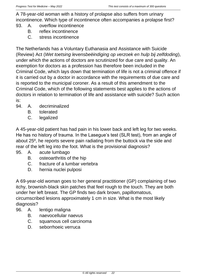A 78-year-old woman with a history of prolapse also suffers from urinary incontinence. Which type of incontinence often accompanies a prolapse first?

- 93. A. overflow incontinence
	- B. reflex incontinence
	- C. stress incontinence

The Netherlands has a Voluntary Euthanasia and Assistance with Suicide (Review) Act (*Wet toetsing levensbeëindiging op verzoek en hulp bij zelfdoding*), under which the actions of doctors are scrutinized for due care and quality. An exemption for doctors as a profession has therefore been included in the Criminal Code, which lays down that termination of life is not a criminal offence if it is carried out by a doctor in accordance with the requirements of due care and is reported to the municipal coroner. As a result of this amendment to the Criminal Code, which of the following statements best applies to the actions of doctors in relation to termination of life and assistance with suicide? Such action is:

- 94. A. decriminalized
	- B. tolerated
	- C. legalized

A 45-year-old patient has had pain in his lower back and left leg for two weeks. He has no history of trauma. In the Lasegue's test (SLR test), from an angle of about 25º, he reports severe pain radiating from the buttock via the side and rear of the left leg into the foot. What is the provisional diagnosis?

- 95. A. acute lumbago
	- B. osteoarthritis of the hip
	- C. fracture of a lumbar vertebra
	- D. hernia nuclei pulposi

A 69-year-old woman goes to her general practitioner (GP) complaining of two itchy, brownish-black skin patches that feel rough to the touch. They are both under her left breast. The GP finds two dark brown, papillomatous, circumscribed lesions approximately 1 cm in size. What is the most likely diagnosis?

- 96. A. lentigo maligna
	- B. naevocellular naevus
	- C. squamous cell carcinoma
	- D. seborrhoeic verruca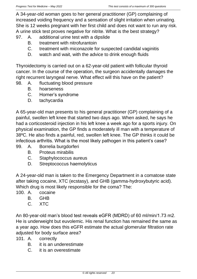A 34-year-old woman goes to her general practitioner (GP) complaining of increased voiding frequency and a sensation of slight irritation when urinating. She is 12 weeks pregnant with her first child and does not want to run any risk. A urine stick test proves negative for nitrite. What is the best strategy?

- 97. A. additional urine test with a dipslide
	- B. treatment with nitrofurantoin
	- C. treatment with miconazole for suspected candidal vaginitis
	- D. watch and wait, with the advice to drink enough fluids

Thyroidectomy is carried out on a 62-year-old patient with follicular thyroid cancer. In the course of the operation, the surgeon accidentally damages the right recurrent laryngeal nerve. What effect will this have on the patient?

- 98. A. fluctuating blood pressure
	- B. hoarseness
	- C. Horner's syndrome
	- D. tachycardia

A 65-year-old man presents to his general practitioner (GP) complaining of a painful, swollen left knee that started two days ago. When asked, he says he had a corticosteroid injection in his left knee a week ago for a sports injury. On physical examination, the GP finds a moderately ill man with a temperature of 38ºC. He also finds a painful, red, swollen left knee. The GP thinks it could be infectious arthritis. What is the most likely pathogen in this patient's case?

- 99. A. Borrelia burgdorferi
	- B. Proteus mirabilis
	- C. Staphylococcus aureus
	- D. Streptococcus haemolyticus

A 24-year-old man is taken to the Emergency Department in a comatose state after taking cocaine, XTC (ecstasy), and GHB (gamma-hydroxybutyric acid). Which drug is most likely responsible for the coma? The:

- 100. A. cocaine
	- B. GHB
	- C. XTC

An 80-year-old man's blood test reveals eGFR (MDRD) of 60 ml/min/1.73 m2. He is underweight but euvolemic. His renal function has remained the same as a year ago. How does this eGFR estimate the actual glomerular filtration rate adjusted for body surface area?

- 101. A. correctly
	- B. it is an underestimate
	- C. it is an overestimate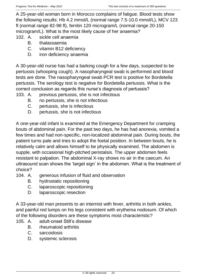A 25-year-old woman born in Morocco complains of fatigue. Blood tests show the following results: Hb 4.2 mmol/L (normal range 7.5-10.0 mmol/L), MCV 123 fl (normal range 82-98 fl), ferritin 120 microgram/L (normal range 20-150 microgram/L). What is the most likely cause of her anaemia?

102. A. sickle cell anaemia

- B. thalassaemia
- C. vitamin B12 deficiency
- D. iron deficiency anaemia

A 30-year-old nurse has had a barking cough for a few days, suspected to be pertussis (whooping cough). A nasopharyngeal swab is performed and blood tests are done. The nasopharyngeal swab PCR test is positive for Bordetella pertussis. The serology test is negative for Bordetella pertussis. What is the correct conclusion as regards this nurse's diagnosis of pertussis?

- 103. A. previous pertussis, she is not infectious
	- B. no pertussis, she is not infectious
	- C. pertussis, she is infectious
	- D. pertussis, she is not infectious

A one-year-old infant is examined at the Emergency Department for cramping bouts of abdominal pain. For the past two days, he has had anorexia, vomited a few times and had non-specific, non-localized abdominal pain. During bouts, the patient turns pale and tries to adopt the foetal position. In between bouts, he is relatively calm and allows himself to be physically examined. The abdomen is supple, with occasional high-pitched peristalsis. The upper abdomen feels resistant to palpation. The abdominal X-ray shows no air in the caecum. An ultrasound scan shows the 'target sign' in the abdomen. What is the treatment of choice?

- 104. A. generous infusion of fluid and observation
	- B. hydrostatic repositioning
	- C. laparoscopic repositioning
	- D. laparoscopic resection

A 33-year-old man presents to an internist with fever, arthritis in both ankles, and painful red lumps on his legs consistent with erythema nodosum. Of which of the following disorders are these symptoms most characteristic?

- 105. A. adult-onset Still's disease
	- B. rheumatoid arthritis
	- C. sarcoidosis
	- D. systemic sclerosis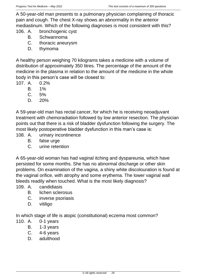A 50-year-old man presents to a pulmonary physician complaining of thoracic pain and cough. The chest X-ray shows an abnormality in the anterior mediastinum. Which of the following diagnoses is most consistent with this?

106. A. bronchogenic cyst

- B. Schwannoma
- C. thoracic aneurysm
- D. thymoma

A healthy person weighing 70 kilograms takes a medicine with a volume of distribution of approximately 350 litres. The percentage of the amount of the medicine in the plasma in relation to the amount of the medicine in the whole body in this person's case will be closest to:

- 107. A. 0.2%
	- B. 1%
	- C. 5%
	- D. 20%

A 59-year-old man has rectal cancer, for which he is receiving neoadjuvant treatment with chemoradiation followed by low anterior resection. The physician points out that there is a risk of bladder dysfunction following the surgery. The most likely postoperative bladder dysfunction in this man's case is:

- 108. A. urinary incontinence
	- B. false urge
	- C. urine retention

A 65-year-old woman has had vaginal itching and dyspareunia, which have persisted for some months. She has no abnormal discharge or other skin problems. On examination of the vagina, a shiny white discolouration is found at the vaginal orifice, with atrophy and some erythema. The lower vaginal wall bleeds readily when touched. What is the most likely diagnosis?

109. A. candidiasis

- B. lichen sclerosus
- C. inverse psoriasis
- D. vitiligo

In which stage of life is atopic (constitutional) eczema most common?

- 110. A. 0-1 years
	- B. 1-3 years
	- C. 4-6 years
	- D. adulthood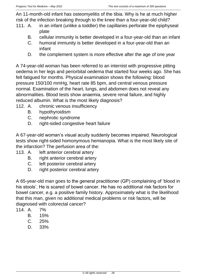An 11-month-old infant has osteomyelitis of the tibia. Why is he at much higher risk of the infection breaking through to the knee than a four-year-old child?

- 111. A. in an infant (unlike a toddler) the capillaries perforate the epiphyseal plate
	- B. cellular immunity is better developed in a four-year-old than an infant
	- C. humoral immunity is better developed in a four-year-old than an infant
	- D. the complement system is more effective after the age of one year

A 74-year-old woman has been referred to an internist with progressive pitting oedema in her legs and periorbital oedema that started four weeks ago. She has felt fatigued for months. Physical examination shows the following: blood pressure 150/100 mmHg, heart rate 85 bpm, and central venous pressure normal. Examination of the heart, lungs, and abdomen does not reveal any abnormalities. Blood tests show anaemia, severe renal failure, and highly reduced albumin. What is the most likely diagnosis?

- 112. A. chronic venous insufficiency
	- B. hypothyroidism
	- C. nephrotic syndrome
	- D. right-sided congestive heart failure

A 67-year-old woman's visual acuity suddenly becomes impaired. Neurological tests show right-sided homonymous hemianopia. What is the most likely site of the infarction? The perfusion area of the:

- 113. A. left anterior cerebral artery
	- B. right anterior cerebral artery
	- C. left posterior cerebral artery
	- D. right posterior cerebral artery

A 65-year-old man goes to the general practitioner (GP) complaining of 'blood in his stools'. He is scared of bowel cancer. He has no additional risk factors for bowel cancer, e.g. a positive family history. Approximately what is the likelihood that this man, given no additional medical problems or risk factors, will be diagnosed with colorectal cancer?

- 114. A. 7%
	- B. 15%
	- C. 25%
	- D. 33%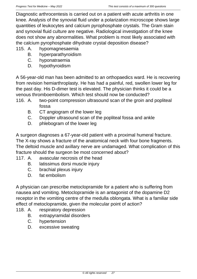Diagnostic arthrocentesis is carried out on a patient with acute arthritis in one knee. Analysis of the synovial fluid under a polarization microscope shows large quantities of leukocytes and calcium pyrophosphate crystals. The Gram stain and synovial fluid culture are negative. Radiological investigation of the knee does not show any abnormalities. What problem is most likely associated with the calcium pyrophosphate dihydrate crystal deposition disease?

- 115. A. hypomagnesaemia
	- B. hyperparathyroidism
	- C. hyponatraemia
	- D. hypothyroidism

A 56-year-old man has been admitted to an orthopaedics ward. He is recovering from revision hemiarthroplasty. He has had a painful, red, swollen lower leg for the past day. His D-dimer test is elevated. The physician thinks it could be a venous thromboembolism. Which test should now be conducted?

- 116. A. two-point compression ultrasound scan of the groin and popliteal fossa
	- B. CT angiogram of the lower leg
	- C. Doppler ultrasound scan of the popliteal fossa and ankle
	- D. phlebogram of the lower leg

A surgeon diagnoses a 67-year-old patient with a proximal humeral fracture. The X-ray shows a fracture of the anatomical neck with four bone fragments. The deltoid muscle and axillary nerve are undamaged. What complication of this fracture should the surgeon be most concerned about?

- 117. A. avascular necrosis of the head
	- B. latissimus dorsi muscle injury
	- C. brachial plexus injury
	- D. fat embolism

A physician can prescribe metoclopramide for a patient who is suffering from nausea and vomiting. Metoclopramide is an antagonist of the dopamine D2 receptor in the vomiting centre of the medulla oblongata. What is a familiar side effect of metoclopramide, given the molecular point of action?

- 118. A. respiratory depression
	- B. extrapyramidal disorders
	- C. hypertension
	- D. excessive sweating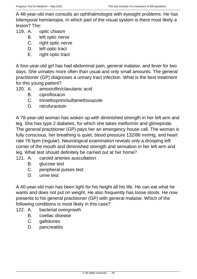A 48-year-old man consults an ophthalmologist with eyesight problems. He has bitemporal hemianopia. In which part of the visual system is there most likely a lesion? The:

- 119. A. optic chiasm
	- B. left optic nerve
	- C. right optic nerve
	- D. left optic tract
	- E. right optic tract

A four-year-old girl has had abdominal pain, general malaise, and fever for two days. She urinates more often than usual and only small amounts. The general practitioner (GP) diagnoses a urinary tract infection. What is the best treatment for this young patient?

- 120. A. amoxicillin/clavulanic acid
	- B. ciprofloxacin
	- C. trimethoprim/sulfamethoxazole
	- D. nitrofurantoin

A 78-year-old woman has woken up with diminished strength in her left arm and leg. She has type 2 diabetes, for which she takes metformin and glimepiride. The general practitioner (GP) pays her an emergency house call. The woman is fully conscious, her breathing is quiet, blood pressure 132/86 mmHg, and heart rate 76 bpm (regular). Neurological examination reveals only a drooping left corner of the mouth and diminished strength and sensation in her left arm and leg. What test should definitely be carried out at her home?

- 121. A. carotid arteries auscultation
	- B. glucose test
	- C. peripheral pulses test
	- D. urine test

A 40-year-old man has been light for his height all his life. He can eat what he wants and does not put on weight. He also frequently has loose stools. He now presents to his general practitioner (GP) with general malaise. Which of the following conditions is most likely in this case?

- 122. A. bacterial overgrowth
	- B. coeliac disease
	- C. gallstones
	- D. pancreatitis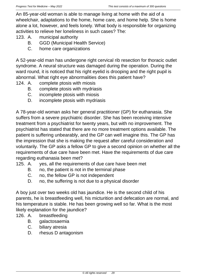An 85-year-old woman is able to manage living at home with the aid of a wheelchair, adaptations to the home, home care, and home help. She is home alone a lot, however, and feels lonely. What body is responsible for organizing activities to relieve her loneliness in such cases? The:

- 123. A. municipal authority
	- B. GGD (Municipal Health Service)
	- C. home care organizations

A 52-year-old man has undergone right cervical rib resection for thoracic outlet syndrome. A neural structure was damaged during the operation. During the ward round, it is noticed that his right eyelid is drooping and the right pupil is abnormal. What right eye abnormalities does this patient have?

- 124. A. complete ptosis with miosis
	- B. complete ptosis with mydriasis
	- C. incomplete ptosis with miosis
	- D. incomplete ptosis with mydriasis

A 78-year-old woman asks her general practitioner (GP) for euthanasia. She suffers from a severe psychiatric disorder. She has been receiving intensive treatment from a psychiatrist for twenty years, but with no improvement. The psychiatrist has stated that there are no more treatment options available. The patient is suffering unbearably, and the GP can well imagine this. The GP has the impression that she is making the request after careful consideration and voluntarily. The GP asks a fellow GP to give a second opinion on whether all the requirements of due care have been met. Have the requirements of due care regarding euthanasia been met?

- 125. A. yes, all the requirements of due care have been met
	- B. no, the patient is not in the terminal phase
	- C. no, the fellow GP is not independent
	- D. no, the suffering is not due to a physical disorder

A boy just over two weeks old has jaundice. He is the second child of his parents, he is breastfeeding well, his micturition and defecation are normal, and his temperature is stable. He has been growing well so far. What is the most likely explanation for the jaundice?

- 126. A. breastfeeding
	- B. galactosaemia
	- C. biliary atresia
	- D. rhesus D antagonism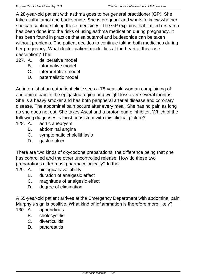A 28-year-old patient with asthma goes to her general practitioner (GP). She takes salbutamol and budesonide. She is pregnant and wants to know whether she can continue taking these medicines. The GP explains that limited research has been done into the risks of using asthma medication during pregnancy. It has been found in practice that salbutamol and budesonide can be taken without problems. The patient decides to continue taking both medicines during her pregnancy. What doctor-patient model lies at the heart of this case description? The:

- 127. A. deliberative model
	- B. informative model
	- C. interpretative model
	- D. paternalistic model

An internist at an outpatient clinic sees a 78-year-old woman complaining of abdominal pain in the epigastric region and weight loss over several months. She is a heavy smoker and has both peripheral arterial disease and coronary disease. The abdominal pain occurs after every meal. She has no pain as long as she does not eat. She takes Ascal and a proton pump inhibitor. Which of the following diagnoses is most consistent with this clinical picture?

- 128. A. aortic aneurysm
	- B. abdominal angina
	- C. symptomatic cholelithiasis
	- D. gastric ulcer

There are two kinds of oxycodone preparations, the difference being that one has controlled and the other uncontrolled release. How do these two preparations differ most pharmacologically? In the:

- 129. A. biological availability
	- B. duration of analgesic effect
	- C. magnitude of analgesic effect
	- D. degree of elimination

A 55-year-old patient arrives at the Emergency Department with abdominal pain. Murphy's sign is positive. What kind of inflammation is therefore more likely?

- 130. A. appendicitis
	- B. cholecystitis
	- C. diverticulitis
	- D. pancreatitis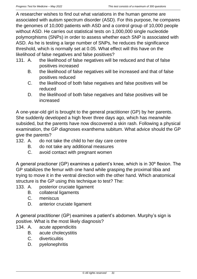A researcher wishes to find out what variations in the human genome are associated with autism spectrum disorder (ASD). For this purpose, he compares the genomes of 10,000 patients with ASD and a control group of 10,000 people without ASD. He carries out statistical tests on 1,000,000 single nucleotide polymorphisms (SNPs) in order to assess whether each SNP is associated with ASD. As he is testing a large number of SNPs, he reduces the significance threshold, which is normally set at 0.05. What effect will this have on the likelihood of false negatives and false positives?

- 131. A. the likelihood of false negatives will be reduced and that of false positives increased
	- B. the likelihood of false negatives will be increased and that of false positives reduced
	- C. the likelihood of both false negatives and false positives will be reduced
	- D. the likelihood of both false negatives and false positives will be increased

A one-year-old girl is brought to the general practitioner (GP) by her parents. She suddenly developed a high fever three days ago, which has meanwhile subsided, but the parents have now discovered a skin rash. Following a physical examination, the GP diagnoses exanthema subitum. What advice should the GP give the parents?

- 132. A. do not take the child to her day care centre
	- B. do not take any additional measures
	- C. avoid contact with pregnant women

A general practioner (GP) examines a patient's knee, which is in 30º flexion. The GP stabilizes the femur with one hand while grasping the proximal tibia and trying to move it in the ventral direction with the other hand. Which anatomical structure is the GP using this technique to test? The:

- 133. A. posterior cruciate ligament
	- B. collateral ligaments
	- C. meniscus
	- D. anterior cruciate ligament

A general practitioner (GP) examines a patient's abdomen. Murphy's sign is positive. What is the most likely diagnosis?

- 134. A. acute appendicitis
	- B. acute cholecystitis
	- C. diverticulitis
	- D. pyelonephritis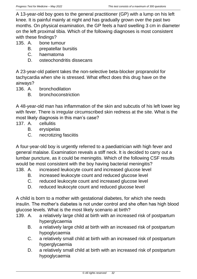A 13-year-old boy goes to the general practitioner (GP) with a lump on his left knee. It is painful mainly at night and has gradually grown over the past two months. On physical examination, the GP feels a hard swelling 3 cm in diameter on the left proximal tibia. Which of the following diagnoses is most consistent with these findings?

135. A. bone tumour

- B. prepatellar bursitis
- C. haematoma
- D. osteochondritis dissecans

A 23-year-old patient takes the non-selective beta-blocker propranolol for tachycardia when she is stressed. What effect does this drug have on the airways?

- 136. A. bronchodilation
	- B. bronchoconstriction

A 48-year-old man has inflammation of the skin and subcutis of his left lower leg with fever. There is irregular circumscribed skin redness at the site. What is the most likely diagnosis in this man's case?

- 137. A. cellulitis
	- B. erysipelas
	- C. necrotizing fasciitis

A four-year-old boy is urgently referred to a paediatrician with high fever and general malaise. Examination reveals a stiff neck. It is decided to carry out a lumbar puncture, as it could be meningitis. Which of the following CSF results would be most consistent with the boy having bacterial meningitis?

- 138. A. increased leukocyte count and increased glucose level
	- B. increased leukocyte count and reduced glucose level
	- C. reduced leukocyte count and increased glucose level
	- D. reduced leukocyte count and reduced glucose level

A child is born to a mother with gestational diabetes, for which she needs insulin. The mother's diabetes is not under control and she often has high blood glucose levels. What is the most likely scenario at birth?

- 139. A. a relatively large child at birth with an increased risk of postpartum hyperglycaemia
	- B. a relatively large child at birth with an increased risk of postpartum hypoglycaemia
	- C. a relatively small child at birth with an increased risk of postpartum hyperglycaemia
	- D. a relatively small child at birth with an increased risk of postpartum hypoglycaemia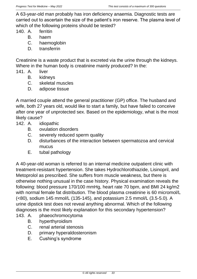A 63-year-old man probably has iron deficiency anaemia. Diagnostic tests are carried out to ascertain the size of the patient's iron reserve. The plasma level of which of the following proteins should be tested?

- 140. A. ferritin
	- B. haem
	- C. haemoglobin
	- D. transferrin

Creatinine is a waste product that is excreted via the urine through the kidneys. Where in the human body is creatinine mainly produced? In the:

- 141. A. liver
	- B. kidneys
	- C. skeletal muscles
	- D. adipose tissue

A married couple attend the general practitioner (GP) office. The husband and wife, both 27 years old, would like to start a family, but have failed to conceive after one year of unprotected sex. Based on the epidemiology, what is the most likely cause?

- 142. A. idiopathic
	- B. ovulation disorders
	- C. severely reduced sperm quality
	- D. disturbances of the interaction between spermatozoa and cervical mucus
	- E. tubal pathology

A 40-year-old woman is referred to an internal medicine outpatient clinic with treatment-resistant hypertension. She takes Hydrochlorothiazide, Lisinopril, and Metoprolol as prescribed. She suffers from muscle weakness, but there is otherwise nothing unusual in the case history. Physical examination reveals the following: blood pressure 170/100 mmHg, heart rate 70 bpm, and BMI 24 kg/m2 with normal female fat distribution. The blood plasma creatinine is 60 micromol/L (<80), sodium 145 mmol/L (135-145), and potassium 2.5 mmol/L (3.5-5.0). A urine dipstick test does not reveal anything abnormal. Which of the following diagnoses is the most likely explanation for this secondary hypertension?

- 143. A. phaeochromocytoma
	- B. hyperthyroidism
	- C. renal arterial stenosis
	- D. primary hyperaldosteronism
	- E. Cushing's syndrome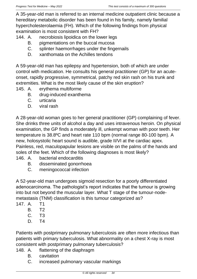A 35-year-old man is referred to an internal medicine outpatient clinic because a hereditary metabolic disorder has been found in his family, namely familial hypercholesterolaemia (FH). Which of the following findings from physical examination is most consistent with FH?

- 144. A. necrobiosis lipoidica on the lower legs
	- B. pigmentations on the buccal mucosa
	- C. splinter haemorrhages under the fingernails
	- D. xanthomata on the Achilles tendons

A 59-year-old man has epilepsy and hypertension, both of which are under control with medication. He consults his general practitioner (GP) for an acuteonset, rapidly progressive, symmetrical, patchy red skin rash on his trunk and extremities. What is the most likely cause of the skin eruption?

- 145. A. erythema multiforme
	- B. drug-induced exanthema
	- C. urticaria
	- D. viral rash

A 28-year-old woman goes to her general practitioner (GP) complaining of fever. She drinks three units of alcohol a day and uses intravenous heroin. On physical examination, the GP finds a moderately ill, unkempt woman with poor teeth. Her temperature is 38.8ºC and heart rate 110 bpm (normal range 80-100 bpm). A new, holosystolic heart sound is audible, grade II/VI at the cardiac apex. Painless, red, maculopapular lesions are visible on the palms of the hands and soles of the feet. Which of the following diagnoses is most likely?

- 146. A. bacterial endocarditis
	- B. disseminated gonorrhoea
	- C. meningococcal infection

A 52-year-old man undergoes sigmoid resection for a poorly differentiated adenocarcinoma. The pathologist's report indicates that the tumour is growing into but not beyond the muscular layer. What T stage of the tumour-nodemetastasis (TNM) classification is this tumour categorized as?

- 147. A. T1
	- B. T2
	- C. T3
	- D. T4

Patients with postprimary pulmonary tuberculosis are often more infectious than patients with primary tuberculosis. What abnormality on a chest X-ray is most consistent with postprimary pulmonary tuberculosis?

- 148. A. flattening of the diaphragm
	- B. cavitation
	- C. increased pulmonary vascular markings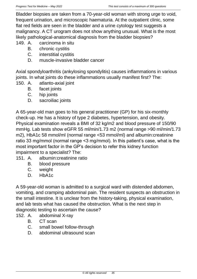Bladder biopsies are taken from a 70-year-old woman with strong urge to void, frequent urination, and microscopic haematuria. At the outpatient clinic, some flat red fields are seen in the bladder and a urine cytology test suggests a malignancy. A CT urogram does not show anything unusual. What is the most likely pathological-anatomical diagnosis from the bladder biopsies?

149. A. carcinoma in situ

- B. chronic cystitis
- C. interstitial cystitis
- D. muscle-invasive bladder cancer

Axial spondyloarthritis (ankylosing spondylitis) causes inflammations in various joints. In what joints do these inflammations usually manifest first? The:

- 150. A. atlanto-axial joint
	- B. facet joints
	- C. hip joints
	- D. sacroiliac joints

A 65-year-old man goes to his general practitioner (GP) for his six-monthly check-up. He has a history of type 2 diabetes, hypertension, and obesity. Physical examination reveals a BMI of 32 kg/m2 and blood pressure of 150/90 mmHg. Lab tests show eGFR 55 ml/min/1.73 m2 (normal range >90 ml/min/1.73 m2), HbA1c 58 mmol/ml (normal range <53 mmol/ml) and albumin:creatinine ratio 33 mg/mmol (normal range <3 mg/mmol). In this patient's case, what is the most important factor in the GP's decision to refer this kidney function impairment to a specialist? The:

- 151. A. albumin:creatinine ratio
	- B. blood pressure
	- C. weight
	- D. HbA1c

A 59-year-old woman is admitted to a surgical ward with distended abdomen, vomiting, and cramping abdominal pain. The resident suspects an obstruction in the small intestine. It is unclear from the history-taking, physical examination, and lab tests what has caused the obstruction. What is the next step in diagnostic testing to ascertain the cause?

- 152. A. abdominal X-ray
	- B. CT scan
	- C. small bowel follow-through
	- D. abdominal ultrasound scan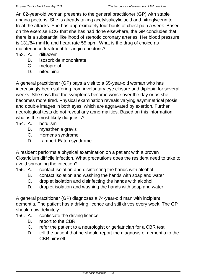An 82-year-old woman presents to the general practitioner (GP) with stable angina pectoris. She is already taking acetylsalicylic acid and nitroglycerin to treat the attacks. She has approximately four bouts of chest pain a week. Based on the exercise ECG that she has had done elsewhere, the GP concludes that there is a substantial likelihood of stenotic coronary arteries. Her blood pressure is 131/84 mmHg and heart rate 55 bpm. What is the drug of choice as maintenance treatment for angina pectoris?

- 153. A. diltiazem
	- B. isosorbide mononitrate
	- C. metoprolol
	- D. nifedipine

A general practitioner (GP) pays a visit to a 65-year-old woman who has increasingly been suffering from involuntary eye closure and diplopia for several weeks. She says that the symptoms become worse over the day or as she becomes more tired. Physical examination reveals varying asymmetrical ptosis and double images in both eyes, which are aggravated by exertion. Further neurological tests do not reveal any abnormalities. Based on this information, what is the most likely diagnosis?

- 154. A. botulism
	- B. myasthenia gravis
	- C. Horner's syndrome
	- D. Lambert-Eaton syndrome

A resident performs a physical examination on a patient with a proven Clostridium difficile infection. What precautions does the resident need to take to avoid spreading the infection?

- 155. A. contact isolation and disinfecting the hands with alcohol
	- B. contact isolation and washing the hands with soap and water
	- C. droplet isolation and disinfecting the hands with alcohol
	- D. droplet isolation and washing the hands with soap and water

A general practitioner (GP) diagnoses a 74-year-old man with incipient dementia. The patient has a driving licence and still drives every week. The GP should now definitely:

- 156. A. confiscate the driving licence
	- B. report to the CBR
	- C. refer the patient to a neurologist or geriatrician for a CBR test
	- D. tell the patient that he should report the diagnosis of dementia to the CBR himself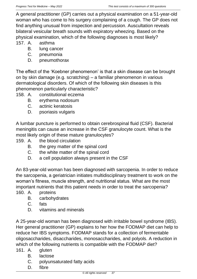A general practitioner (GP) carries out a physical examination on a 51-year-old woman who has come to his surgery complaining of a cough. The GP does not find anything unusual from inspection and percussion. Auscultation reveals bilateral vesicular breath sounds with expiratory wheezing. Based on the physical examination, which of the following diagnoses is most likely?

157. A. asthma

- B. lung cancer
- C. pneumonia
- D. pneumothorax

The effect of the 'Koebner phenomenon' is that a skin disease can be brought on by skin damage (e.g. scratching) – a familiar phenomenon in various dermatological disorders. Of which of the following skin diseases is this phenomenon particularly characteristic?

- 158. A. constitutional eczema
	- B. erythema nodosum
	- C. actinic keratosis
	- D. psoriasis vulgaris

A lumbar puncture is performed to obtain cerebrospinal fluid (CSF). Bacterial meningitis can cause an increase in the CSF granulocyte count. What is the most likely origin of these mature granulocytes?

- 159. A. the blood circulation
	- B. the grey matter of the spinal cord
	- C. the white matter of the spinal cord
	- D. a cell population always present in the CSF

An 83-year-old woman has been diagnosed with sarcopenia. In order to reduce the sarcopenia, a geriatrician initiates multidisciplinary treatment to work on the woman's fitness, muscle strength, and nutritional status. What are the most important nutrients that this patient needs in order to treat the sarcopenia?

- 160. A. proteins
	- B. carbohydrates
	- C. fats
	- D. vitamins and minerals

A 25-year-old woman has been diagnosed with irritable bowel syndrome (IBS). Her general practitioner (GP) explains to her how the FODMAP diet can help to reduce her IBS symptoms. FODMAP stands for a collection of fermentable oligosaccharides, disaccharides, monosaccharides, and polyols. A reduction in which of the following nutrients is compatible with the FODMAP diet?

- 161. A. gluten
	- B. lactose
	- C. polyunsaturated fatty acids
	- D. fibre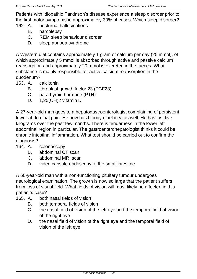Patients with idiopathic Parkinson's disease experience a sleep disorder prior to the first motor symptoms in approximately 30% of cases. Which sleep disorder?

- 162. A. nocturnal hallucinations
	- B. narcolepsy
	- C. REM sleep behaviour disorder
	- D. sleep apnoea syndrome

A Western diet contains approximately 1 gram of calcium per day (25 mmol), of which approximately 5 mmol is absorbed through active and passive calcium reabsorption and approximately 20 mmol is excreted in the faeces. What substance is mainly responsible for active calcium reabsorption in the duodenum?

- 163. A. calcitonin
	- B. fibroblast growth factor 23 (FGF23)
	- C. parathyroid hormone (PTH)
	- D. 1,25(OH)2 vitamin D

A 27-year-old man goes to a hepatogastroenterologist complaining of persistent lower abdominal pain. He now has bloody diarrhoea as well. He has lost five kilograms over the past few months. There is tenderness in the lower left abdominal region in particular. The gastroenterohepatologist thinks it could be chronic intestinal inflammation. What test should be carried out to confirm the diagnosis?

- 164. A. colonoscopy
	- B. abdominal CT scan
	- C. abdominal MRI scan
	- D. video capsule endoscopy of the small intestine

A 60-year-old man with a non-functioning pituitary tumour undergoes neurological examination. The growth is now so large that the patient suffers from loss of visual field. What fields of vision will most likely be affected in this patient's case?

- 165. A. both nasal fields of vision
	- B. both temporal fields of vision
	- C. the nasal field of vision of the left eye and the temporal field of vision of the right eve
	- D. the nasal field of vision of the right eye and the temporal field of vision of the left eye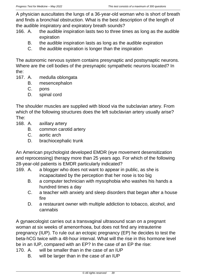A physician auscultates the lungs of a 36-year-old woman who is short of breath and finds a bronchial obstruction. What is the best description of the length of the audible inspiratory and expiratory breath sounds?

- 166. A. the audible inspiration lasts two to three times as long as the audible expiration
	- B. the audible inspiration lasts as long as the audible expiration
	- C. the audible expiration is longer than the inspiration

The autonomic nervous system contains presynaptic and postsynaptic neurons. Where are the cell bodies of the presynaptic sympathetic neurons located? In the:

- 167. A. medulla oblongata
	- B. mesencephalon
	- C. pons
	- D. spinal cord

The shoulder muscles are supplied with blood via the subclavian artery. From which of the following structures does the left subclavian artery usually arise? The:

- 168. A. axillary artery
	- B. common carotid artery
	- C. aortic arch
	- D. brachiocephalic trunk

An American psychologist developed EMDR (eye movement desensitization and reprocessing) therapy more than 25 years ago. For which of the following 28-year-old patients is EMDR particularly indicated?

- 169. A. a blogger who does not want to appear in public, as she is incapacitated by the perception that her nose is too big
	- B. a computer technician with mysophobia who washes his hands a hundred times a day
	- C. a teacher with anxiety and sleep disorders that began after a house fire
	- D. a restaurant owner with multiple addiction to tobacco, alcohol, and cannabis

A gynaecologist carries out a transvaginal ultrasound scan on a pregnant woman at six weeks of amenorrhoea, but does not find any intrauterine pregnancy (IUP). To rule out an ectopic pregnancy (EP) he decides to test the beta-hCG twice with a 48-hour interval. What will the rise in this hormone level be in an IUP, compared with an EP? In the case of an EP the rise:

- 170. A. will be smaller than in the case of an IUP
	- B. will be larger than in the case of an IUP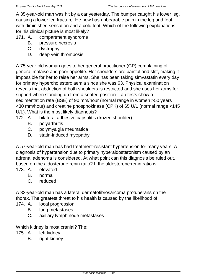A 35-year-old man was hit by a car yesterday. The bumper caught his lower leg, causing a lower leg fracture. He now has unbearable pain in the leg and foot, with diminished sensation and a cold foot. Which of the following explanations for his clinical picture is most likely?

- 171. A. compartment syndrome
	- B. pressure necrosis
	- C. dystrophy
	- D. deep vein thrombosis

A 75-year-old woman goes to her general practitioner (GP) complaining of general malaise and poor appetite. Her shoulders are painful and stiff, making it impossible for her to raise her arms. She has been taking simvastatin every day for primary hypercholesterolaemia since she was 63. Physical examination reveals that abduction of both shoulders is restricted and she uses her arms for support when standing up from a seated position. Lab tests show a sedimentation rate (BSE) of 90 mm/hour (normal range in women >50 years <30 mm/hour) and creatine phosphokinase (CPK) of 65 U/L (normal range <145 U/L). What is the most likely diagnosis?

- 172. A. bilateral adhesive capsulitis (frozen shoulder)
	- B. polyarthritis
	- C. polymyalgia rheumatica
	- D. statin-induced myopathy

A 57-year-old man has had treatment-resistant hypertension for many years. A diagnosis of hypertension due to primary hyperaldosteronism caused by an adrenal adenoma is considered. At what point can this diagnosis be ruled out, based on the aldosterone:renin ratio? If the aldosterone:renin ratio is:

- 173. A. elevated
	- B. normal
	- C. reduced

A 32-year-old man has a lateral dermatofibrosarcoma protuberans on the thorax. The greatest threat to his health is caused by the likelihood of:

- 174. A. local progression
	- B. lung metastases
	- C. axillary lymph node metastases

Which kidney is most cranial? The:

- 175. A. left kidney
	- B. right kidney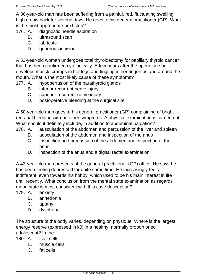A 36-year-old man has been suffering from a painful, red, fluctuating swelling high on his back for several days. He goes to his general practitioner (GP). What is the most appropriate next step?

- 176. A. diagnostic needle aspiration
	- B. ultrasound scan
	- C. lab tests
	- D. generous incision

A 53-year-old woman undergoes total thyroidectomy for papillary thyroid cancer that has been confirmed cytologically. A few hours after the operation she develops muscle cramps in her legs and tingling in her fingertips and around the mouth. What is the most likely cause of these symptoms?

- 177. A. hypoperfusion of the parathyroid glands
	- B. inferior recurrent nerve injury
	- C. superior recurrent nerve injury
	- D. postoperative bleeding at the surgical site

A 50-year-old man goes to his general practitioner (GP) complaining of bright red anal bleeding with no other symptoms. A physical examination is carried out. What should it definitely include, in addition to abdominal palpation?

- 178. A. auscultation of the abdomen and percussion of the liver and spleen
	- B. auscultation of the abdomen and inspection of the anus
	- C. inspection and percussion of the abdomen and inspection of the anus
	- D. inspection of the anus and a digital rectal examination

A 43-year-old man presents at the general practitioner (GP) office. He says he has been feeling depressed for quite some time. He increasingly feels indifferent, even towards his hobby, which used to be his main interest in life until recently. What conclusion from the mental state examination as regards mood state is most consistent with this case description?

- 179. A. anxiety
	- B. anhedonia
	- C. apathy
	- D. dysphoria

The structure of the body varies, depending on physique. Where is the largest energy reserve (expressed in kJ) in a healthy, normally proportioned adolescent? In the:

180. A. liver cells

- B. muscle cells
- C. fat cells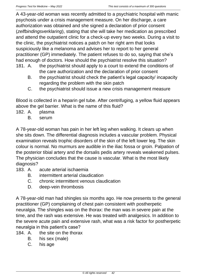A 43-year-old woman was recently admitted to a psychiatric hospital with manic psychosis under a crisis management measure. On her discharge, a care authorization was obtained and she signed a declaration of prior consent (*zelfbindingsverklaring*), stating that she will take her medication as prescribed and attend the outpatient clinic for a check-up every two weeks. During a visit to the clinic, the psychiatrist notices a patch on her right arm that looks suspiciously like a melanoma and advises her to report to her general practitioner (GP) immediately. The patient refuses to do so, saying that she's had enough of doctors. How should the psychiatrist resolve this situation?

- 181. A. the psychiatrist should apply to a court to extend the conditions of the care authorization and the declaration of prior consent
	- B. the psychiatrist should check the patient's legal capacity/ incapacity regarding the problem with the skin patch
	- C. the psychiatrist should issue a new crisis management measure

Blood is collected in a heparin gel tube. After centrifuging, a yellow fluid appears above the gel barrier. What is the name of this fluid?

- 182. A. plasma
	- B. serum

A 78-year-old woman has pain in her left leg when walking. It clears up when she sits down. The differential diagnosis includes a vascular problem. Physical examination reveals trophic disorders of the skin of the left lower leg. The skin colour is normal. No murmurs are audible in the iliac fossa or groin. Palpation of the posterior tibial artery and the dorsalis pedis artery reveals weakened pulses. The physician concludes that the cause is vascular. What is the most likely diagnosis?

- 183. A. acute arterial ischaemia
	- B. intermittent arterial claudication
	- C. chronic intermittent venous claudication
	- D. deep-vein thrombosis

A 78-year-old man had shingles six months ago. He now presents to the general practitioner (GP) complaining of chest pain consistent with postherpetic neuralgia. The shingles was on the thorax: the man was in severe pain at the time, and the rash was extensive. He was treated with analgesics. In addition to the severe acute pain and extensive rash, what was a risk factor for postherpetic neuralgia in this patient's case?

- 184. A. the site on the thorax
	- B. his sex (male)
	- C. his age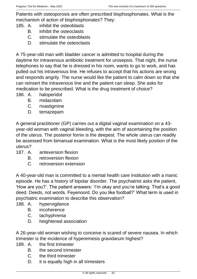Patients with osteoporosis are often prescribed bisphosphonates. What is the mechanism of action of bisphosphonates? They:

- 185. A. inhibit the osteoblasts
	- B. inhibit the osteoclasts
	- C. stimulate the osteoblasts
	- D. stimulate the osteoclasts

A 75-year-old man with bladder cancer is admitted to hospital during the daytime for intravenous antibiotic treatment for urosepsis. That night, the nurse telephones to say that he is dressed in his room, wants to go to work, and has pulled out his intravenous line. He refuses to accept that his actions are wrong and responds angrily. The nurse would like the patient to calm down so that she can reinsert the intravenous line and the patient can sleep. She asks for medication to be prescribed. What is the drug treatment of choice?

- 186. A. haloperidol
	- B. midazolam
	- C. rivastigmine
	- D. temazepam

A general practitioner (GP) carries out a digital vaginal examination on a 43 year-old woman with vaginal bleeding, with the aim of ascertaining the position of the uterus. The posterior fornix is the deepest. The whole uterus can readily be assessed from bimanual examination. What is the most likely position of the uterus?

- 187. A. anteversion flexion
	- B. retroversion flexion
	- C. retroversion extension

A 40-year-old man is committed to a mental health care institution with a manic episode. He has a history of bipolar disorder. The psychiatrist asks the patient, 'How are you?'. The patient answers: 'I'm okay and you're talking. That's a good deed. Deeds, not words. Feyenoord. Do you like football?' What term is used in psychiatric examination to describe this observation?

- 188. A. hypervigilance
	- B. incoherence
	- C. tachyphrenia
	- D. heightened association

A 26-year-old woman wishing to conceive is scared of severe nausea. In which trimester is the incidence of hyperemesis gravidarum highest?

- 189. A. the first trimester
	- B. the second trimester
	- C. the third trimester
	- D. it is equally high in all trimesters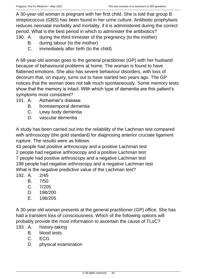A 30-year-old woman is pregnant with her first child. She is told that group B streptococcus (GBS) has been found in her urine culture. Antibiotic prophylaxis reduces neonatal morbidity and mortality, if it is administered during the correct period. What is the best period in which to administer the antibiotics?

- 190. A. during the third trimester of the pregnancy (to the mother)
	- B. during labour (to the mother)
	- C. immediately after birth (to the child)

A 68-year-old woman goes to the general practitioner (GP) with her husband because of behavioural problems at home. The woman is found to have flattened emotions. She also has severe behaviour disorders, with loss of decorum that, on inquiry, turns out to have started two years ago. The GP notices that the woman does not talk much spontaneously. Some memory tests show that the memory is intact. With which type of dementia are this patient's symptoms most consistent?

- 191. A. Alzheimer's disease
	- B. frontotemporal dementia
	- C. Lewy body dementia
	- D. vascular dementia

A study has been carried out into the reliability of the Lachman test compared with arthroscopy (the gold standard) for diagnosing anterior cruciate ligament rupture. The results were as follows:

43 people had positive arthroscopy and a positive Lachman test 2 people had negative arthroscopy and a positive Lachman test 7 people had positive arthroscopy and a negative Lachman test 198 people had negative arthroscopy and a negative Lachman test What is the negative predictive value of the Lachman test?

- 192. A. 2/45
	- B. 7/50
	- C. 7/205
	- D. 198/200
	- E. 198/205

A 30-year-old woman presents at the general practitioner (GP) office. She has had a transient loss of consciousness. Which of the following options will probably provide the most information to ascertain the cause of TLoC?

- 193. A. history-taking
	- B. blood tests
	- C. ECG
	- D. physical examination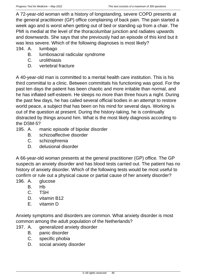A 72-year-old woman with a history of longstanding, severe COPD presents at the general practitioner (GP) office complaining of back pain. The pain started a week ago and is worst when getting out of bed or standing up from a chair. The PMI is medial at the level of the thoracolumbar junction and radiates upwards and downwards. She says that she previously had an episode of this kind but it was less severe. Which of the following diagnoses is most likely?

- 194. A. lumbago
	- B. lumbosacral radicular syndrome
	- C. urolithiasis
	- D. vertebral fracture

A 40-year-old man is committed to a mental health care institution. This is his third committal to a clinic. Between committals his functioning was good. For the past ten days the patient has been chaotic and more irritable than normal, and he has inflated self-esteem. He sleeps no more than three hours a night. During the past few days, he has called several official bodies in an attempt to restore world peace, a subject that has been on his mind for several days. Working is out of the question at present. During the history-taking, he is continually distracted by things around him. What is the most likely diagnosis according to the DSM-5?

- 195. A. manic episode of bipolar disorder
	- B. schizoaffective disorder
	- C. schizophrenia
	- D. delusional disorder

A 66-year-old woman presents at the general practitioner (GP) office. The GP suspects an anxiety disorder and has blood tests carried out. The patient has no history of anxiety disorder. Which of the following tests would be most useful to confirm or rule out a physical cause or partial cause of her anxiety disorder?

- 196. A. glucose
	- B. Hb
	- C. TSH
	- D. vitamin B12
	- E. vitamin D

Anxiety symptoms and disorders are common. What anxiety disorder is most common among the adult population of the Netherlands?

- 197. A. generalized anxiety disorder
	- B. panic disorder
	- C. specific phobia
	- D. social anxiety disorder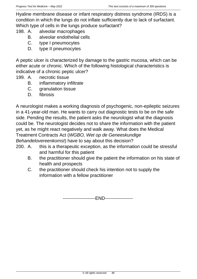Hyaline membrane disease or infant respiratory distress syndrome (IRDS) is a condition in which the lungs do not inflate sufficiently due to lack of surfactant. Which type of cells in the lungs produce surfactant?

- 198. A. alveolar macrophages
	- B. alveolar endothelial cells
	- C. type I pneumocytes
	- D. type II pneumocytes

A peptic ulcer is characterized by damage to the gastric mucosa, which can be either acute or chronic. Which of the following histological characteristics is indicative of a chronic peptic ulcer?

- 199. A. necrotic tissue
	- B. inflammatory infiltrate
	- C. granulation tissue
	- D. fibrosis

A neurologist makes a working diagnosis of psychogenic, non-epileptic seizures in a 41-year-old man. He wants to carry out diagnostic tests to be on the safe side. Pending the results, the patient asks the neurologist what the diagnosis could be. The neurologist decides not to share the information with the patient yet, as he might react negatively and walk away. What does the Medical Treatment Contracts Act (*WGBO, Wet op de Geneeskundige Behandelovereenkomst*) have to say about this decision?

- 200. A. this is a therapeutic exception, as the information could be stressful and harmful for this patient
	- B. the practitioner should give the patient the information on his state of health and prospects
	- C. the practitioner should check his intention not to supply the information with a fellow practitioner

---------------------END------------------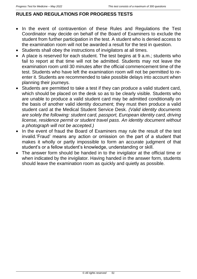## **RULES AND REGULATIONS FOR PROGRESS TESTS**

- In the event of contravention of these Rules and Regulations the Test Coordinator may decide on behalf of the Board of Examiners to exclude the student from further participation in the test. A student who is denied access to the examination room will not be awarded a result for the test in question.
- Students shall obey the instructions of invigilators at all times.
- A place is reserved for each student. The test begins at 9 a.m.; students who fail to report at that time will not be admitted. Students may not leave the examination room until 30 minutes after the official commencement time of the test. Students who have left the examination room will not be permitted to reenter it. Students are recommended to take possible delays into account when planning their journeys.
- Students are permitted to take a test if they can produce a valid student card, which should be placed on the desk so as to be clearly visible. Students who are unable to produce a valid student card may be admitted conditionally on the basis of another valid identity document; they must then produce a valid student card at the Medical Student Service Desk. *(Valid identity documents are solely the following: student card, passport, European identity card, driving license, residence permit or student travel pass. An identity document without a photograph will not be accepted.)*
- In the event of fraud the Board of Examiners may rule the result of the test invalid.'Fraud' means any action or omission on the part of a student that makes it wholly or partly impossible to form an accurate judgment of that student's or a fellow student's knowledge, understanding or skill.
- The answer form should be handed in to the invigilator at the official time or when indicated by the invigilator. Having handed in the answer form, students should leave the examination room as quickly and quietly as possible.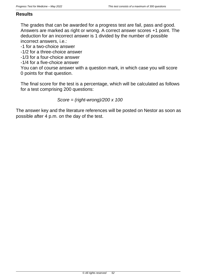#### **Results**

The grades that can be awarded for a progress test are fail, pass and good. Answers are marked as right or wrong. A correct answer scores +1 point. The deduction for an incorrect answer is 1 divided by the number of possible incorrect answers, i.e.:

-1 for a two-choice answer

-1/2 for a three-choice answer

-1/3 for a four-choice answer

-1/4 for a five-choice answer

You can of course answer with a question mark, in which case you will score 0 points for that question.

The final score for the test is a percentage, which will be calculated as follows for a test comprising 200 questions:

*Score = (right-wrong)/200 x 100*

The answer key and the literature references will be posted on Nestor as soon as possible after 4 p.m. on the day of the test.